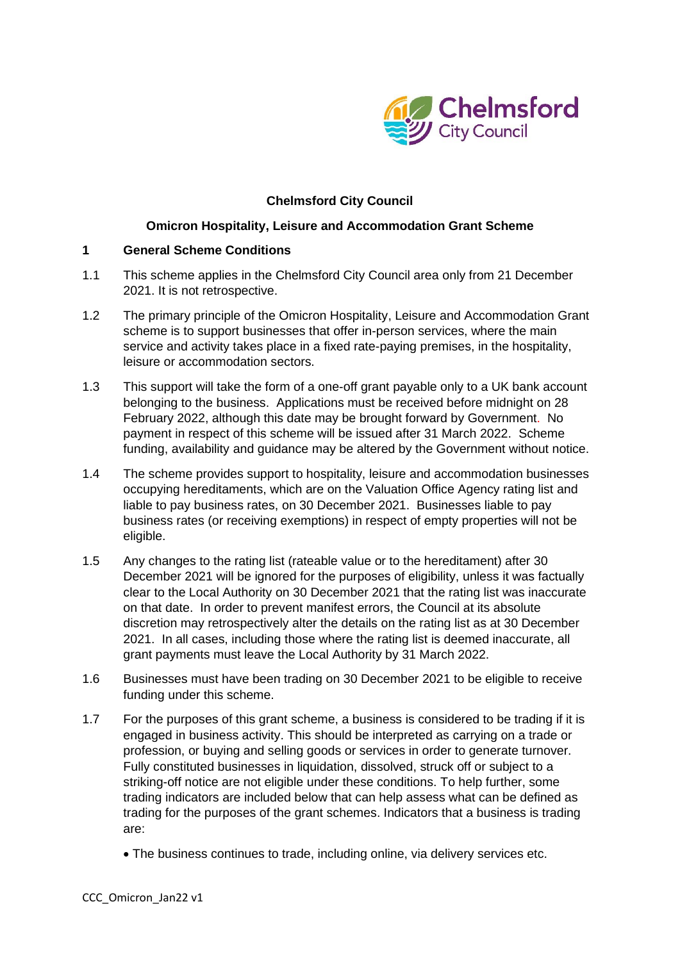

# **Chelmsford City Council**

## **Omicron Hospitality, Leisure and Accommodation Grant Scheme**

#### **1 General Scheme Conditions**

- 1.1 This scheme applies in the Chelmsford City Council area only from 21 December 2021. It is not retrospective.
- 1.2 The primary principle of the Omicron Hospitality, Leisure and Accommodation Grant scheme is to support businesses that offer in-person services, where the main service and activity takes place in a fixed rate-paying premises, in the hospitality, leisure or accommodation sectors.
- 1.3 This support will take the form of a one-off grant payable only to a UK bank account belonging to the business. Applications must be received before midnight on 28 February 2022, although this date may be brought forward by Government. No payment in respect of this scheme will be issued after 31 March 2022. Scheme funding, availability and guidance may be altered by the Government without notice.
- 1.4 The scheme provides support to hospitality, leisure and accommodation businesses occupying hereditaments, which are on the Valuation Office Agency rating list and liable to pay business rates, on 30 December 2021. Businesses liable to pay business rates (or receiving exemptions) in respect of empty properties will not be eligible.
- 1.5 Any changes to the rating list (rateable value or to the hereditament) after 30 December 2021 will be ignored for the purposes of eligibility, unless it was factually clear to the Local Authority on 30 December 2021 that the rating list was inaccurate on that date. In order to prevent manifest errors, the Council at its absolute discretion may retrospectively alter the details on the rating list as at 30 December 2021. In all cases, including those where the rating list is deemed inaccurate, all grant payments must leave the Local Authority by 31 March 2022.
- 1.6 Businesses must have been trading on 30 December 2021 to be eligible to receive funding under this scheme.
- 1.7 For the purposes of this grant scheme, a business is considered to be trading if it is engaged in business activity. This should be interpreted as carrying on a trade or profession, or buying and selling goods or services in order to generate turnover. Fully constituted businesses in liquidation, dissolved, struck off or subject to a striking-off notice are not eligible under these conditions. To help further, some trading indicators are included below that can help assess what can be defined as trading for the purposes of the grant schemes. Indicators that a business is trading are:
	- The business continues to trade, including online, via delivery services etc.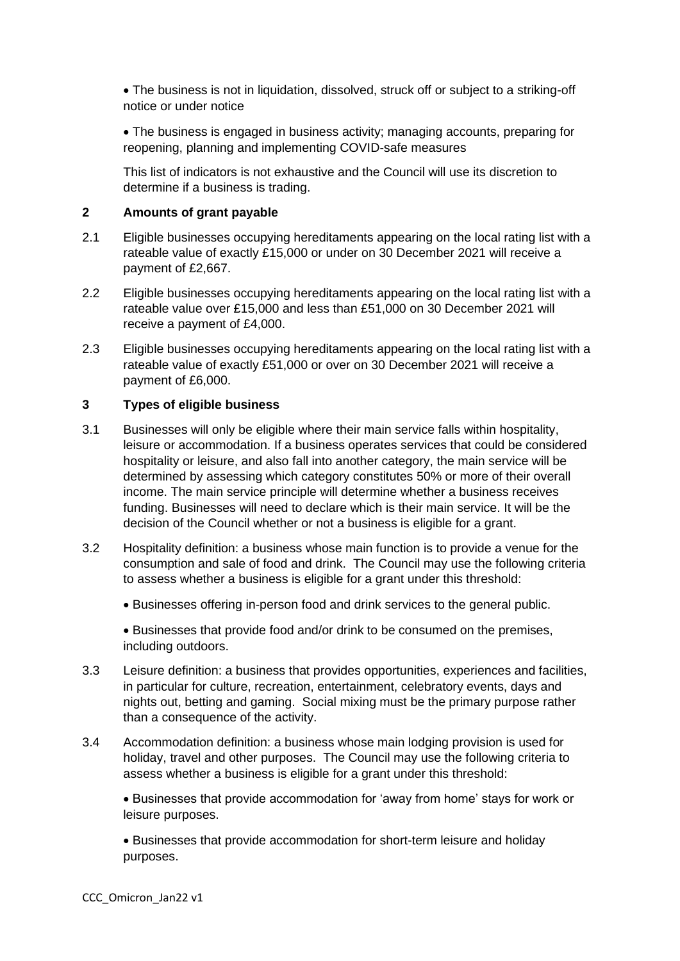• The business is not in liquidation, dissolved, struck off or subject to a striking-off notice or under notice

• The business is engaged in business activity; managing accounts, preparing for reopening, planning and implementing COVID-safe measures

This list of indicators is not exhaustive and the Council will use its discretion to determine if a business is trading.

## **2 Amounts of grant payable**

- 2.1 Eligible businesses occupying hereditaments appearing on the local rating list with a rateable value of exactly £15,000 or under on 30 December 2021 will receive a payment of £2,667.
- 2.2 Eligible businesses occupying hereditaments appearing on the local rating list with a rateable value over £15,000 and less than £51,000 on 30 December 2021 will receive a payment of £4,000.
- 2.3 Eligible businesses occupying hereditaments appearing on the local rating list with a rateable value of exactly £51,000 or over on 30 December 2021 will receive a payment of £6,000.

## **3 Types of eligible business**

- 3.1 Businesses will only be eligible where their main service falls within hospitality, leisure or accommodation. If a business operates services that could be considered hospitality or leisure, and also fall into another category, the main service will be determined by assessing which category constitutes 50% or more of their overall income. The main service principle will determine whether a business receives funding. Businesses will need to declare which is their main service. It will be the decision of the Council whether or not a business is eligible for a grant.
- 3.2 Hospitality definition: a business whose main function is to provide a venue for the consumption and sale of food and drink. The Council may use the following criteria to assess whether a business is eligible for a grant under this threshold:
	- Businesses offering in-person food and drink services to the general public.

• Businesses that provide food and/or drink to be consumed on the premises, including outdoors.

- 3.3 Leisure definition: a business that provides opportunities, experiences and facilities, in particular for culture, recreation, entertainment, celebratory events, days and nights out, betting and gaming. Social mixing must be the primary purpose rather than a consequence of the activity.
- 3.4 Accommodation definition: a business whose main lodging provision is used for holiday, travel and other purposes. The Council may use the following criteria to assess whether a business is eligible for a grant under this threshold:

• Businesses that provide accommodation for 'away from home' stays for work or leisure purposes.

• Businesses that provide accommodation for short-term leisure and holiday purposes.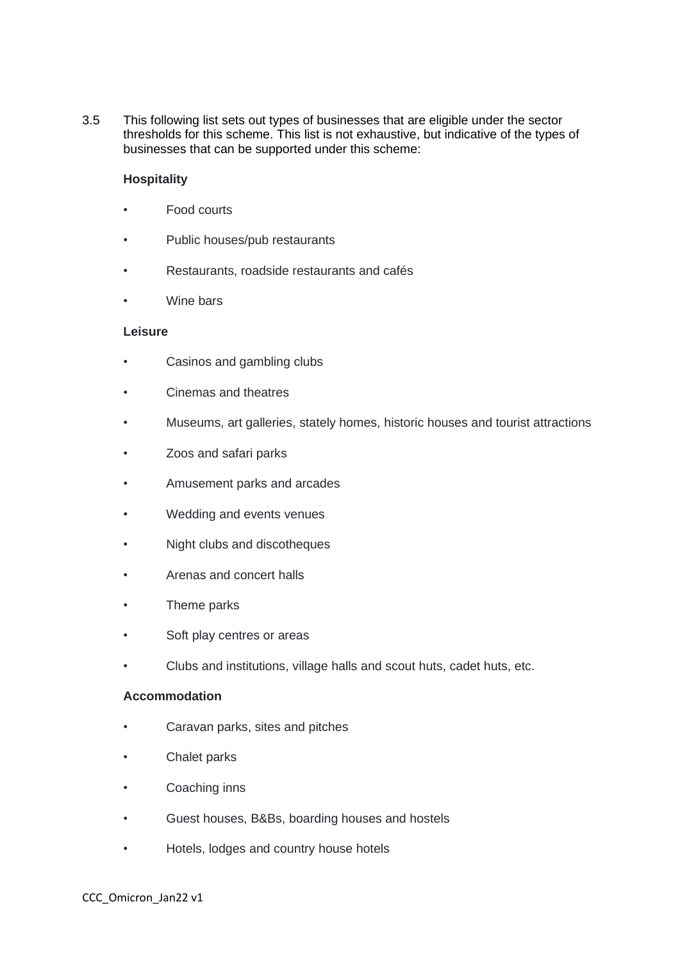3.5 This following list sets out types of businesses that are eligible under the sector thresholds for this scheme. This list is not exhaustive, but indicative of the types of businesses that can be supported under this scheme:

## **Hospitality**

- Food courts
- Public houses/pub restaurants
- Restaurants, roadside restaurants and cafés
- Wine bars

## **Leisure**

- Casinos and gambling clubs
- Cinemas and theatres
- Museums, art galleries, stately homes, historic houses and tourist attractions
- Zoos and safari parks
- Amusement parks and arcades
- Wedding and events venues
- Night clubs and discotheques
- Arenas and concert halls
- Theme parks
- Soft play centres or areas
- Clubs and institutions, village halls and scout huts, cadet huts, etc.

## **Accommodation**

- Caravan parks, sites and pitches
- Chalet parks
- Coaching inns
- Guest houses, B&Bs, boarding houses and hostels
- Hotels, lodges and country house hotels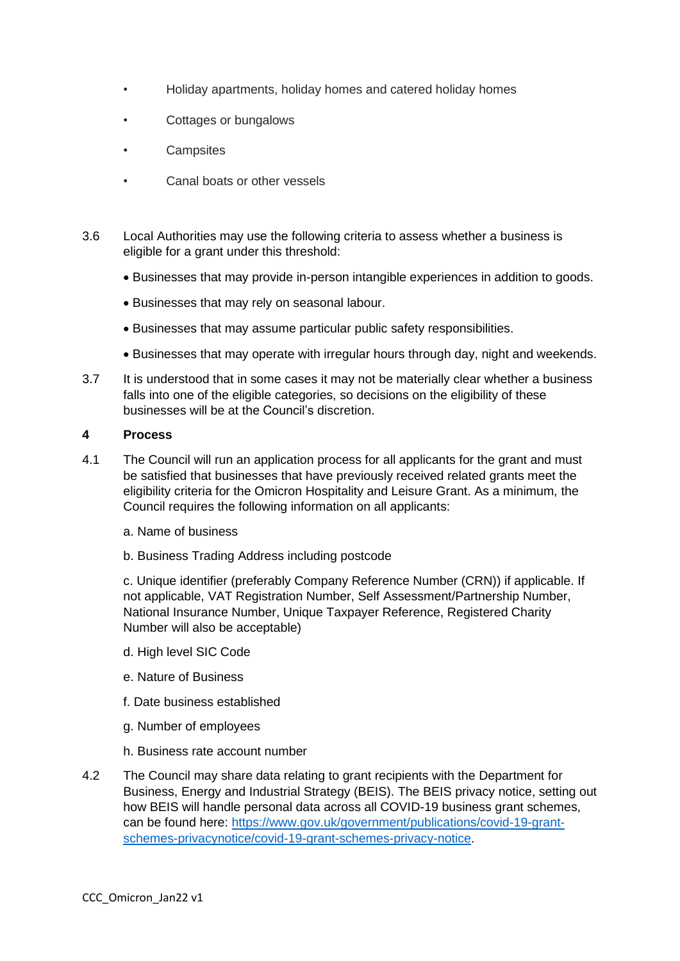- Holiday apartments, holiday homes and catered holiday homes
- Cottages or bungalows
- **Campsites**
- Canal boats or other vessels
- 3.6 Local Authorities may use the following criteria to assess whether a business is eligible for a grant under this threshold:
	- Businesses that may provide in-person intangible experiences in addition to goods.
	- Businesses that may rely on seasonal labour.
	- Businesses that may assume particular public safety responsibilities.
	- Businesses that may operate with irregular hours through day, night and weekends.
- 3.7 It is understood that in some cases it may not be materially clear whether a business falls into one of the eligible categories, so decisions on the eligibility of these businesses will be at the Council's discretion.

#### **4 Process**

- 4.1 The Council will run an application process for all applicants for the grant and must be satisfied that businesses that have previously received related grants meet the eligibility criteria for the Omicron Hospitality and Leisure Grant. As a minimum, the Council requires the following information on all applicants:
	- a. Name of business
	- b. Business Trading Address including postcode

c. Unique identifier (preferably Company Reference Number (CRN)) if applicable. If not applicable, VAT Registration Number, Self Assessment/Partnership Number, National Insurance Number, Unique Taxpayer Reference, Registered Charity Number will also be acceptable)

- d. High level SIC Code
- e. Nature of Business
- f. Date business established
- g. Number of employees
- h. Business rate account number
- 4.2 The Council may share data relating to grant recipients with the Department for Business, Energy and Industrial Strategy (BEIS). The BEIS privacy notice, setting out how BEIS will handle personal data across all COVID-19 business grant schemes, can be found here: [https://www.gov.uk/government/publications/covid-19-grant](https://www.gov.uk/government/publications/covid-19-grant-schemes-privacynotice/covid-19-grant-schemes-privacy-notice)[schemes-privacynotice/covid-19-grant-schemes-privacy-notice.](https://www.gov.uk/government/publications/covid-19-grant-schemes-privacynotice/covid-19-grant-schemes-privacy-notice)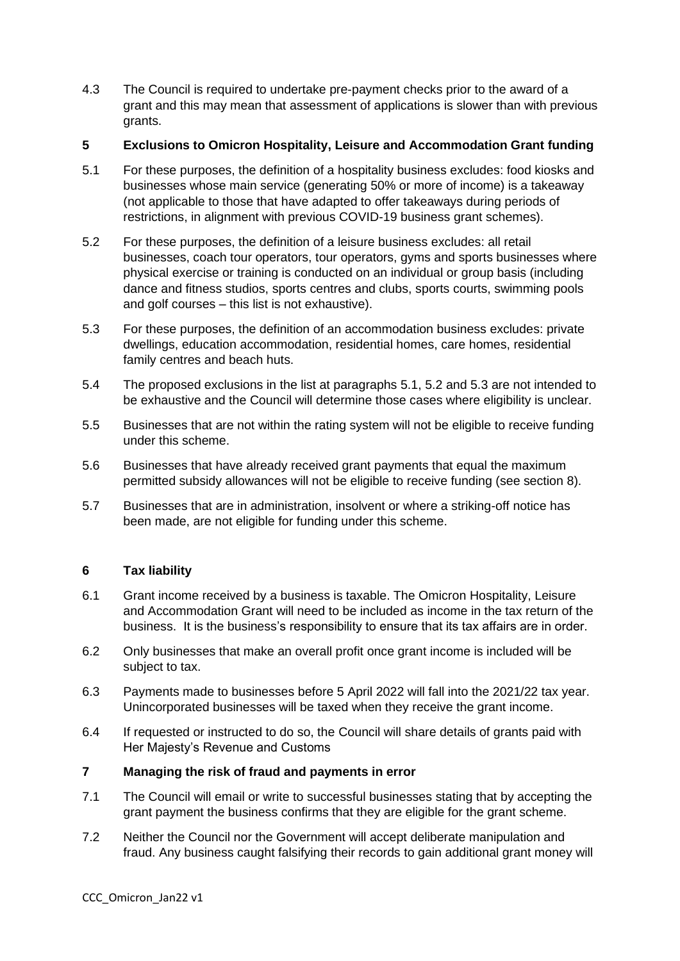4.3 The Council is required to undertake pre-payment checks prior to the award of a grant and this may mean that assessment of applications is slower than with previous grants.

# **5 Exclusions to Omicron Hospitality, Leisure and Accommodation Grant funding**

- 5.1 For these purposes, the definition of a hospitality business excludes: food kiosks and businesses whose main service (generating 50% or more of income) is a takeaway (not applicable to those that have adapted to offer takeaways during periods of restrictions, in alignment with previous COVID-19 business grant schemes).
- 5.2 For these purposes, the definition of a leisure business excludes: all retail businesses, coach tour operators, tour operators, gyms and sports businesses where physical exercise or training is conducted on an individual or group basis (including dance and fitness studios, sports centres and clubs, sports courts, swimming pools and golf courses – this list is not exhaustive).
- 5.3 For these purposes, the definition of an accommodation business excludes: private dwellings, education accommodation, residential homes, care homes, residential family centres and beach huts.
- 5.4 The proposed exclusions in the list at paragraphs 5.1, 5.2 and 5.3 are not intended to be exhaustive and the Council will determine those cases where eligibility is unclear.
- 5.5 Businesses that are not within the rating system will not be eligible to receive funding under this scheme.
- 5.6 Businesses that have already received grant payments that equal the maximum permitted subsidy allowances will not be eligible to receive funding (see section 8).
- 5.7 Businesses that are in administration, insolvent or where a striking-off notice has been made, are not eligible for funding under this scheme.

# **6 Tax liability**

- 6.1 Grant income received by a business is taxable. The Omicron Hospitality, Leisure and Accommodation Grant will need to be included as income in the tax return of the business. It is the business's responsibility to ensure that its tax affairs are in order.
- 6.2 Only businesses that make an overall profit once grant income is included will be subject to tax.
- 6.3 Payments made to businesses before 5 April 2022 will fall into the 2021/22 tax year. Unincorporated businesses will be taxed when they receive the grant income.
- 6.4 If requested or instructed to do so, the Council will share details of grants paid with Her Majesty's Revenue and Customs

## **7 Managing the risk of fraud and payments in error**

- 7.1 The Council will email or write to successful businesses stating that by accepting the grant payment the business confirms that they are eligible for the grant scheme.
- 7.2 Neither the Council nor the Government will accept deliberate manipulation and fraud. Any business caught falsifying their records to gain additional grant money will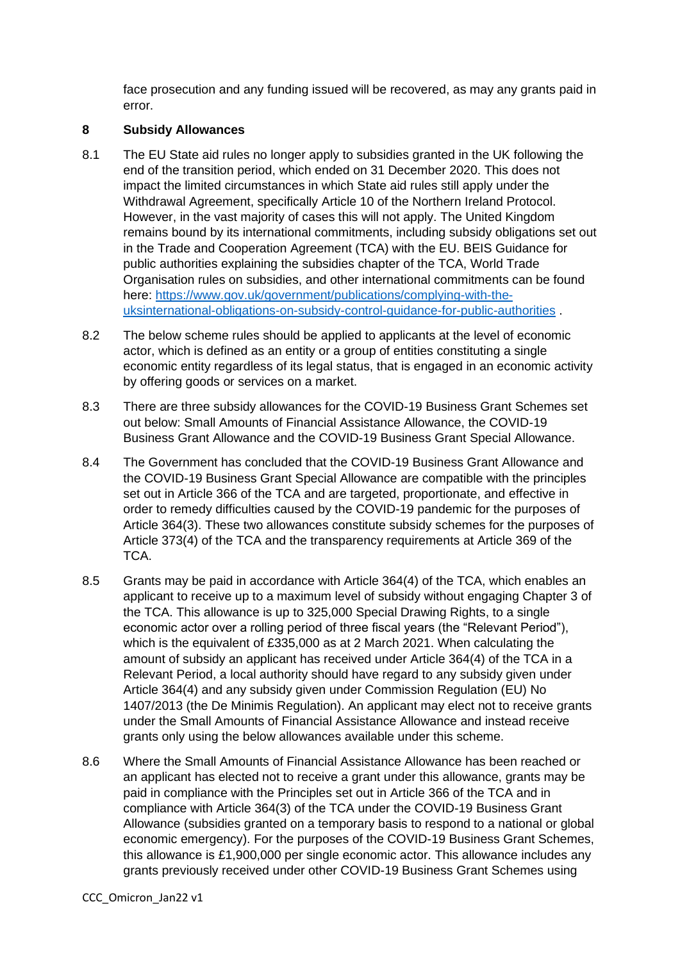face prosecution and any funding issued will be recovered, as may any grants paid in error.

## **8 Subsidy Allowances**

- 8.1 The EU State aid rules no longer apply to subsidies granted in the UK following the end of the transition period, which ended on 31 December 2020. This does not impact the limited circumstances in which State aid rules still apply under the Withdrawal Agreement, specifically Article 10 of the Northern Ireland Protocol. However, in the vast majority of cases this will not apply. The United Kingdom remains bound by its international commitments, including subsidy obligations set out in the Trade and Cooperation Agreement (TCA) with the EU. BEIS Guidance for public authorities explaining the subsidies chapter of the TCA, World Trade Organisation rules on subsidies, and other international commitments can be found here: [https://www.gov.uk/government/publications/complying-with-the](https://www.gov.uk/government/publications/complying-with-the-uksinternational-obligations-on-subsidy-control-guidance-for-public-authorities)[uksinternational-obligations-on-subsidy-control-guidance-for-public-authorities](https://www.gov.uk/government/publications/complying-with-the-uksinternational-obligations-on-subsidy-control-guidance-for-public-authorities) .
- 8.2 The below scheme rules should be applied to applicants at the level of economic actor, which is defined as an entity or a group of entities constituting a single economic entity regardless of its legal status, that is engaged in an economic activity by offering goods or services on a market.
- 8.3 There are three subsidy allowances for the COVID-19 Business Grant Schemes set out below: Small Amounts of Financial Assistance Allowance, the COVID-19 Business Grant Allowance and the COVID-19 Business Grant Special Allowance.
- 8.4 The Government has concluded that the COVID-19 Business Grant Allowance and the COVID-19 Business Grant Special Allowance are compatible with the principles set out in Article 366 of the TCA and are targeted, proportionate, and effective in order to remedy difficulties caused by the COVID-19 pandemic for the purposes of Article 364(3). These two allowances constitute subsidy schemes for the purposes of Article 373(4) of the TCA and the transparency requirements at Article 369 of the TCA.
- 8.5 Grants may be paid in accordance with Article 364(4) of the TCA, which enables an applicant to receive up to a maximum level of subsidy without engaging Chapter 3 of the TCA. This allowance is up to 325,000 Special Drawing Rights, to a single economic actor over a rolling period of three fiscal years (the "Relevant Period"), which is the equivalent of £335,000 as at 2 March 2021. When calculating the amount of subsidy an applicant has received under Article 364(4) of the TCA in a Relevant Period, a local authority should have regard to any subsidy given under Article 364(4) and any subsidy given under Commission Regulation (EU) No 1407/2013 (the De Minimis Regulation). An applicant may elect not to receive grants under the Small Amounts of Financial Assistance Allowance and instead receive grants only using the below allowances available under this scheme.
- 8.6 Where the Small Amounts of Financial Assistance Allowance has been reached or an applicant has elected not to receive a grant under this allowance, grants may be paid in compliance with the Principles set out in Article 366 of the TCA and in compliance with Article 364(3) of the TCA under the COVID-19 Business Grant Allowance (subsidies granted on a temporary basis to respond to a national or global economic emergency). For the purposes of the COVID-19 Business Grant Schemes, this allowance is £1,900,000 per single economic actor. This allowance includes any grants previously received under other COVID-19 Business Grant Schemes using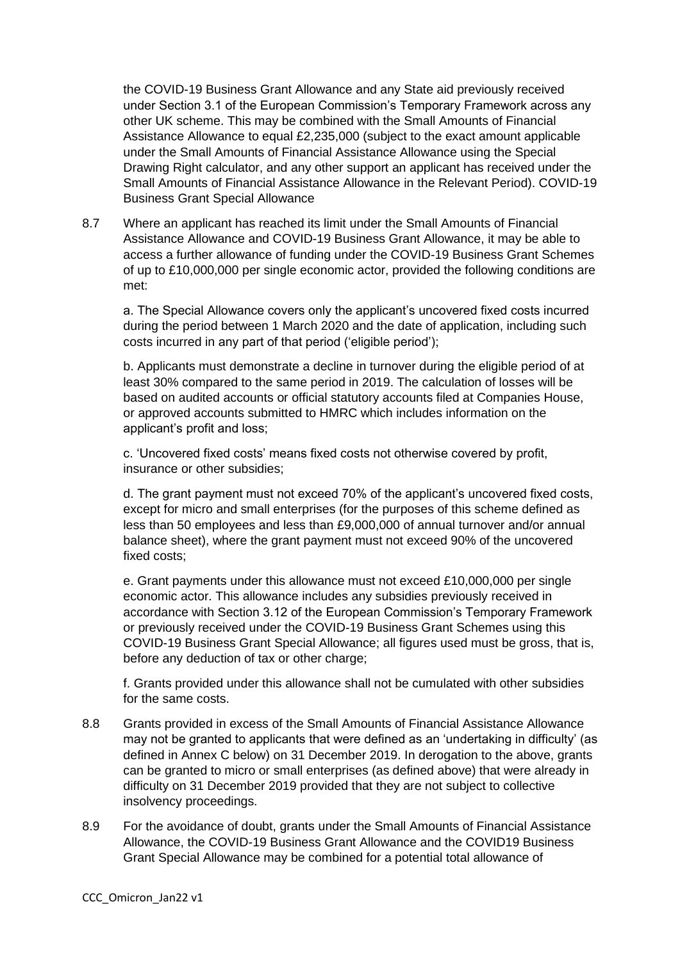the COVID-19 Business Grant Allowance and any State aid previously received under Section 3.1 of the European Commission's Temporary Framework across any other UK scheme. This may be combined with the Small Amounts of Financial Assistance Allowance to equal £2,235,000 (subject to the exact amount applicable under the Small Amounts of Financial Assistance Allowance using the Special Drawing Right calculator, and any other support an applicant has received under the Small Amounts of Financial Assistance Allowance in the Relevant Period). COVID-19 Business Grant Special Allowance

8.7 Where an applicant has reached its limit under the Small Amounts of Financial Assistance Allowance and COVID-19 Business Grant Allowance, it may be able to access a further allowance of funding under the COVID-19 Business Grant Schemes of up to £10,000,000 per single economic actor, provided the following conditions are met:

a. The Special Allowance covers only the applicant's uncovered fixed costs incurred during the period between 1 March 2020 and the date of application, including such costs incurred in any part of that period ('eligible period');

b. Applicants must demonstrate a decline in turnover during the eligible period of at least 30% compared to the same period in 2019. The calculation of losses will be based on audited accounts or official statutory accounts filed at Companies House, or approved accounts submitted to HMRC which includes information on the applicant's profit and loss;

c. 'Uncovered fixed costs' means fixed costs not otherwise covered by profit, insurance or other subsidies;

d. The grant payment must not exceed 70% of the applicant's uncovered fixed costs, except for micro and small enterprises (for the purposes of this scheme defined as less than 50 employees and less than £9,000,000 of annual turnover and/or annual balance sheet), where the grant payment must not exceed 90% of the uncovered fixed costs;

e. Grant payments under this allowance must not exceed £10,000,000 per single economic actor. This allowance includes any subsidies previously received in accordance with Section 3.12 of the European Commission's Temporary Framework or previously received under the COVID-19 Business Grant Schemes using this COVID-19 Business Grant Special Allowance; all figures used must be gross, that is, before any deduction of tax or other charge;

f. Grants provided under this allowance shall not be cumulated with other subsidies for the same costs.

- 8.8 Grants provided in excess of the Small Amounts of Financial Assistance Allowance may not be granted to applicants that were defined as an 'undertaking in difficulty' (as defined in Annex C below) on 31 December 2019. In derogation to the above, grants can be granted to micro or small enterprises (as defined above) that were already in difficulty on 31 December 2019 provided that they are not subject to collective insolvency proceedings.
- 8.9 For the avoidance of doubt, grants under the Small Amounts of Financial Assistance Allowance, the COVID-19 Business Grant Allowance and the COVID19 Business Grant Special Allowance may be combined for a potential total allowance of